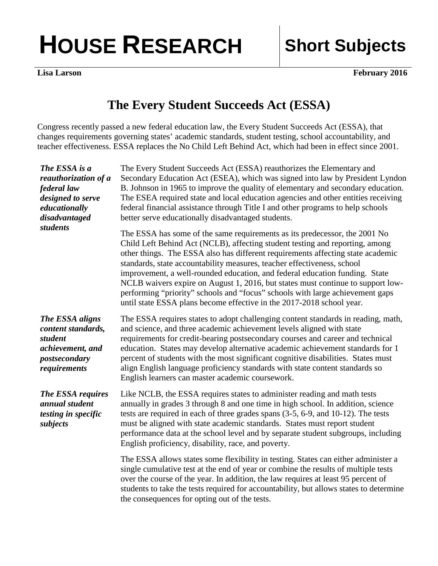## HOUSE RESEARCH | Short Subjects

**Lisa Larson February 2016** 

## **The Every Student Succeeds Act (ESSA)**

Congress recently passed a new federal education law, the Every Student Succeeds Act (ESSA), that changes requirements governing states' academic standards, student testing, school accountability, and teacher effectiveness. ESSA replaces the No Child Left Behind Act, which had been in effect since 2001.

| The ESSA is a<br>reauthorization of a<br>federal law<br>designed to serve<br>educationally<br>disadvantaged<br>students | The Every Student Succeeds Act (ESSA) reauthorizes the Elementary and<br>Secondary Education Act (ESEA), which was signed into law by President Lyndon<br>B. Johnson in 1965 to improve the quality of elementary and secondary education.<br>The ESEA required state and local education agencies and other entities receiving<br>federal financial assistance through Title I and other programs to help schools<br>better serve educationally disadvantaged students.                                                                                                                                                                             |
|-------------------------------------------------------------------------------------------------------------------------|------------------------------------------------------------------------------------------------------------------------------------------------------------------------------------------------------------------------------------------------------------------------------------------------------------------------------------------------------------------------------------------------------------------------------------------------------------------------------------------------------------------------------------------------------------------------------------------------------------------------------------------------------|
|                                                                                                                         | The ESSA has some of the same requirements as its predecessor, the 2001 No<br>Child Left Behind Act (NCLB), affecting student testing and reporting, among<br>other things. The ESSA also has different requirements affecting state academic<br>standards, state accountability measures, teacher effectiveness, school<br>improvement, a well-rounded education, and federal education funding. State<br>NCLB waivers expire on August 1, 2016, but states must continue to support low-<br>performing "priority" schools and "focus" schools with large achievement gaps<br>until state ESSA plans become effective in the 2017-2018 school year. |
| The ESSA aligns<br>content standards,<br>student<br>achievement, and<br>postsecondary<br>requirements                   | The ESSA requires states to adopt challenging content standards in reading, math,<br>and science, and three academic achievement levels aligned with state<br>requirements for credit-bearing postsecondary courses and career and technical<br>education. States may develop alternative academic achievement standards for 1<br>percent of students with the most significant cognitive disabilities. States must<br>align English language proficiency standards with state content standards so<br>English learners can master academic coursework.                                                                                              |
| The ESSA requires<br>annual student<br>testing in specific<br>subjects                                                  | Like NCLB, the ESSA requires states to administer reading and math tests<br>annually in grades 3 through 8 and one time in high school. In addition, science<br>tests are required in each of three grades spans (3-5, 6-9, and 10-12). The tests<br>must be aligned with state academic standards. States must report student<br>performance data at the school level and by separate student subgroups, including<br>English proficiency, disability, race, and poverty.                                                                                                                                                                           |
|                                                                                                                         | The ESSA allows states some flexibility in testing. States can either administer a<br>single cumulative test at the end of year or combine the results of multiple tests<br>over the course of the year. In addition, the law requires at least 95 percent of<br>students to take the tests required for accountability, but allows states to determine<br>the consequences for opting out of the tests.                                                                                                                                                                                                                                             |